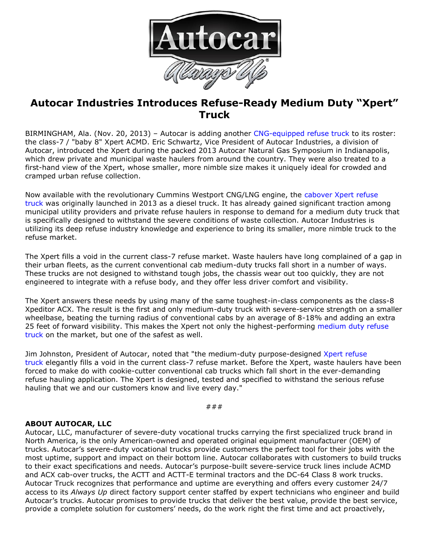

## **Autocar Industries Introduces Refuse-Ready Medium Duty "Xpert" Truck**

BIRMINGHAM, Ala. (Nov. 20, 2013) – Autocar is adding another [CNG-equipped refuse truck](http://autocartruck.com/refuse-truck) to its roster: the class-7 / "baby 8" Xpert ACMD. Eric Schwartz, Vice President of Autocar Industries, a division of Autocar, introduced the Xpert during the packed 2013 Autocar Natural Gas Symposium in Indianapolis, which drew private and municipal waste haulers from around the country. They were also treated to a first-hand view of the Xpert, whose smaller, more nimble size makes it uniquely ideal for crowded and cramped urban refuse collection.

Now available with the revolutionary Cummins Westport CNG/LNG engine, the [cabover Xpert refuse](http://autocartruck.com/refuse-truck)  [truck](http://autocartruck.com/refuse-truck) was originally launched in 2013 as a diesel truck. It has already gained significant traction among municipal utility providers and private refuse haulers in response to demand for a medium duty truck that is specifically designed to withstand the severe conditions of waste collection. Autocar Industries is utilizing its deep refuse industry knowledge and experience to bring its smaller, more nimble truck to the refuse market.

The Xpert fills a void in the current class-7 refuse market. Waste haulers have long complained of a gap in their urban fleets, as the current conventional cab medium-duty trucks fall short in a number of ways. These trucks are not designed to withstand tough jobs, the chassis wear out too quickly, they are not engineered to integrate with a refuse body, and they offer less driver comfort and visibility.

The Xpert answers these needs by using many of the same toughest-in-class components as the class-8 Xpeditor ACX. The result is the first and only medium-duty truck with severe-service strength on a smaller wheelbase, beating the turning radius of conventional cabs by an average of 8-18% and adding an extra 25 feet of forward visibility. This makes the Xpert not only the highest-performing [medium duty refuse](http://autocartruck.com/refuse-truck)  [truck](http://autocartruck.com/refuse-truck) on the market, but one of the safest as well.

Jim Johnston, President of Autocar, noted that "the medium-duty purpose-designed [Xpert refuse](http://autocartruck.com/refuse-truck)  [truck](http://autocartruck.com/refuse-truck) elegantly fills a void in the current class-7 refuse market. Before the Xpert, waste haulers have been forced to make do with cookie-cutter conventional cab trucks which fall short in the ever-demanding refuse hauling application. The Xpert is designed, tested and specified to withstand the serious refuse hauling that we and our customers know and live every day."

###

## **ABOUT AUTOCAR, LLC**

Autocar, LLC, manufacturer of severe-duty vocational trucks carrying the first specialized truck brand in North America, is the only American-owned and operated original equipment manufacturer (OEM) of trucks. Autocar's severe-duty vocational trucks provide customers the perfect tool for their jobs with the most uptime, support and impact on their bottom line. Autocar collaborates with customers to build trucks to their exact specifications and needs. Autocar's purpose-built severe-service truck lines include ACMD and ACX cab-over trucks, the ACTT and ACTT-E terminal tractors and the DC-64 Class 8 work trucks. Autocar Truck recognizes that performance and uptime are everything and offers every customer 24/7 access to its *Always Up* direct factory support center staffed by expert technicians who engineer and build Autocar's trucks. Autocar promises to provide trucks that deliver the best value, provide the best service, provide a complete solution for customers' needs, do the work right the first time and act proactively,